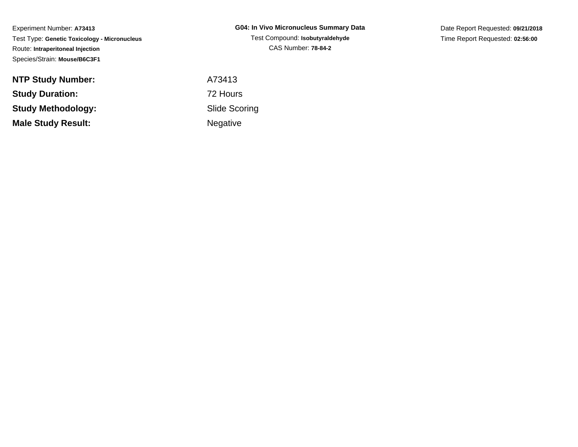Experiment Number: **A73413** Test Type: **Genetic Toxicology - Micronucleus**Route: **Intraperitoneal Injection**Species/Strain: **Mouse/B6C3F1**

| G04: In Vivo Micronucleus Summary Data |
|----------------------------------------|
| Test Compound: Isobutyraldehyde        |
| <b>CAS Number: 78-84-2</b>             |

Date Report Requested: **09/21/2018**Time Report Requested: **02:56:00**

| <b>NTP Study Number:</b>  | A73413          |
|---------------------------|-----------------|
| <b>Study Duration:</b>    | 72 Hours        |
| Study Methodology:        | Slide Sco       |
| <b>Male Study Result:</b> | <b>Negative</b> |

 Slide ScoringNegative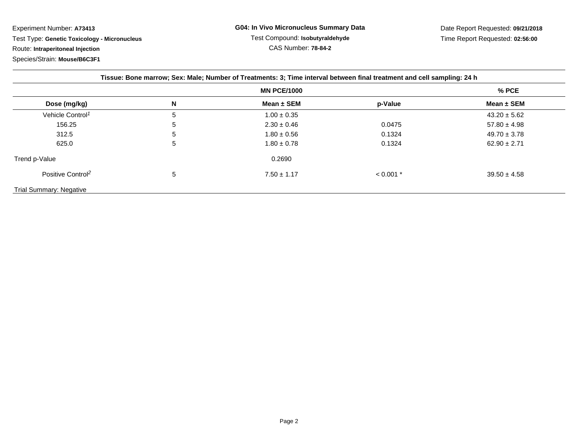Experiment Number: **A73413** Test Type: **Genetic Toxicology - Micronucleus**Route: **Intraperitoneal Injection**Species/Strain: **Mouse/B6C3F1**

|                               | <b>MN PCE/1000</b> |                 |             | $%$ PCE          |
|-------------------------------|--------------------|-----------------|-------------|------------------|
| Dose (mg/kg)                  | N                  | Mean $\pm$ SEM  | p-Value     | Mean $\pm$ SEM   |
| Vehicle Control <sup>1</sup>  | 5                  | $1.00 \pm 0.35$ |             | $43.20 \pm 5.62$ |
| 156.25                        | 5                  | $2.30 \pm 0.46$ | 0.0475      | $57.80 \pm 4.98$ |
| 312.5                         | 5                  | $1.80 \pm 0.56$ | 0.1324      | $49.70 \pm 3.78$ |
| 625.0                         | 5                  | $1.80 \pm 0.78$ | 0.1324      | $62.90 \pm 2.71$ |
| Trend p-Value                 |                    | 0.2690          |             |                  |
| Positive Control <sup>2</sup> | 5                  | $7.50 \pm 1.17$ | $< 0.001$ * | $39.50 \pm 4.58$ |